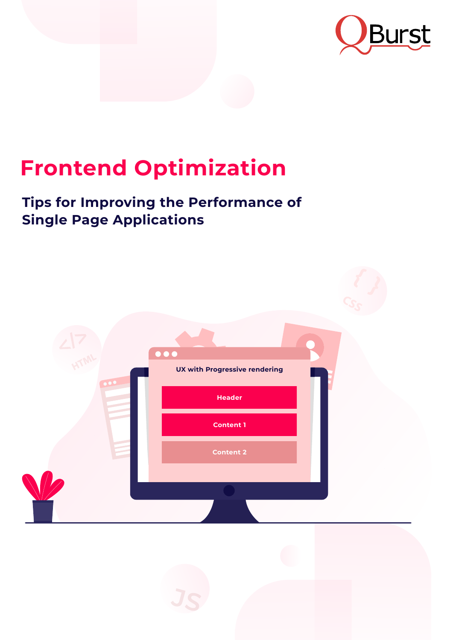



# **Frontend Optimization**

# **Tips for Improving the Performance of Single Page Applications**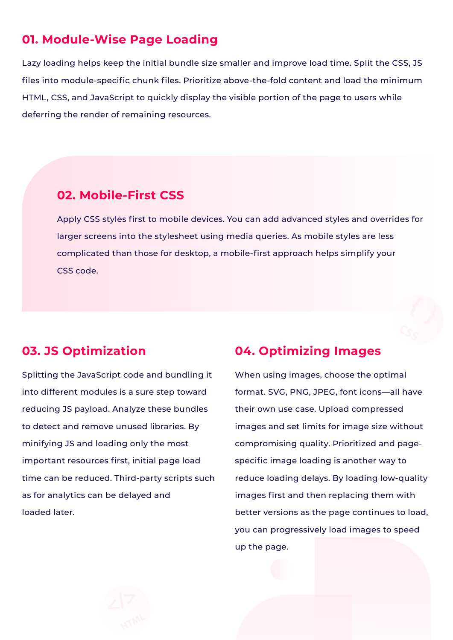## **01. Module-Wise Page Loading**

Lazy loading helps keep the initial bundle size smaller and improve load time. Split the CSS, JS files into module-specific chunk files. Prioritize above-the-fold content and load the minimum HTML, CSS, and JavaScript to quickly display the visible portion of the page to users while deferring the render of remaining resources.

Apply CSS styles first to mobile devices. You can add advanced styles and overrides for larger screens into the stylesheet using media queries. As mobile styles are less complicated than those for desktop, a mobile-first approach helps simplify your CSS code.

## **02. Mobile-First CSS**

## **03. JS Optimization**

Splitting the JavaScript code and bundling it into different modules is a sure step toward reducing JS payload. Analyze these bundles to detect and remove unused libraries. By minifying JS and loading only the most important resources first, initial page load time can be reduced. Third-party scripts such

as for analytics can be delayed and

loaded later.

## **04. Optimizing Images**

When using images, choose the optimal format. SVG, PNG, JPEG, font icons—all have their own use case. Upload compressed images and set limits for image size without compromising quality. Prioritized and pagespecific image loading is another way to reduce loading delays. By loading low-quality

images first and then replacing them with

better versions as the page continues to load,

you can progressively load images to speed

up the page.

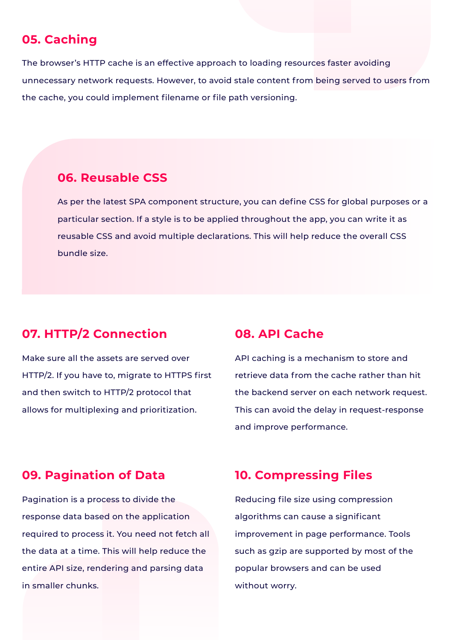# **05. Caching**

The browser's HTTP cache is an effective approach to loading resources faster avoiding unnecessary network requests. However, to avoid stale content from being served to users from the cache, you could implement filename or file path versioning.

# **07. HTTP/2 Connection**

Make sure all the assets are served over HTTP/2. If you have to, migrate to HTTPS first and then switch to HTTP/2 protocol that allows for multiplexing and prioritization.

## **08. API Cache**

API caching is a mechanism to store and retrieve data from the cache rather than hit the backend server on each network request. This can avoid the delay in request-response and improve performance.

# **09. Pagination of Data**

Pagination is a process to divide the

response data based on the application

required to process it. You need not fetch all

the data at a time. This will help reduce the entire API size, rendering and parsing data in smaller chunks.

# **10. Compressing Files**

Reducing file size using compression

algorithms can cause a significant

improvement in page performance. Tools

such as gzip are supported by most of the

popular browsers and can be used

without worry.

#### **06. Reusable CSS**

As per the latest SPA component structure, you can define CSS for global purposes or a particular section. If a style is to be applied throughout the app, you can write it as reusable CSS and avoid multiple declarations. This will help reduce the overall CSS bundle size.